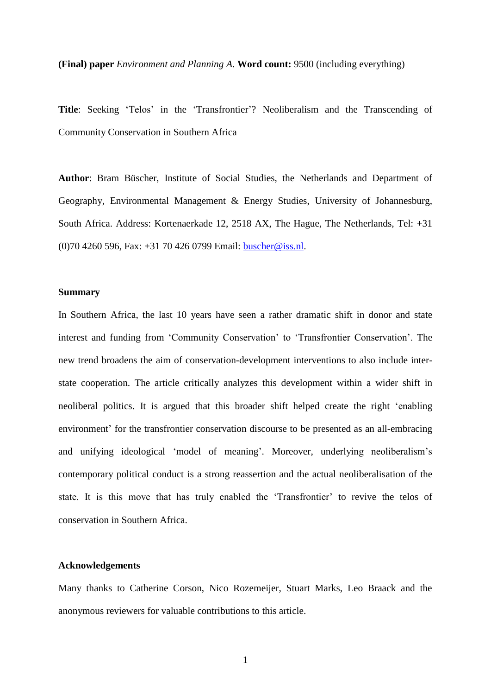### **(Final) paper** *Environment and Planning A*. **Word count:** 9500 (including everything)

**Title**: Seeking 'Telos' in the 'Transfrontier'? Neoliberalism and the Transcending of Community Conservation in Southern Africa

**Author**: Bram Büscher, Institute of Social Studies, the Netherlands and Department of Geography*,* Environmental Management & Energy Studies, University of Johannesburg, South Africa. Address: Kortenaerkade 12, 2518 AX, The Hague, The Netherlands, Tel: +31 (0)70 4260 596, Fax: +31 70 426 0799 Email: [buscher@iss.nl.](mailto:buscher@iss.nl)

#### **Summary**

In Southern Africa, the last 10 years have seen a rather dramatic shift in donor and state interest and funding from 'Community Conservation' to 'Transfrontier Conservation'. The new trend broadens the aim of conservation-development interventions to also include interstate cooperation. The article critically analyzes this development within a wider shift in neoliberal politics. It is argued that this broader shift helped create the right 'enabling environment' for the transfrontier conservation discourse to be presented as an all-embracing and unifying ideological ‗model of meaning'. Moreover, underlying neoliberalism's contemporary political conduct is a strong reassertion and the actual neoliberalisation of the state. It is this move that has truly enabled the 'Transfrontier' to revive the telos of conservation in Southern Africa.

# **Acknowledgements**

Many thanks to Catherine Corson, Nico Rozemeijer, Stuart Marks, Leo Braack and the anonymous reviewers for valuable contributions to this article.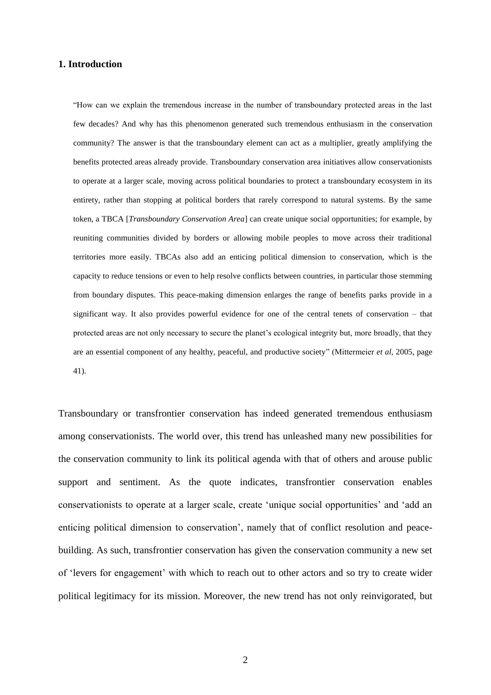# **1. Introduction**

―How can we explain the tremendous increase in the number of transboundary protected areas in the last few decades? And why has this phenomenon generated such tremendous enthusiasm in the conservation community? The answer is that the transboundary element can act as a multiplier, greatly amplifying the benefits protected areas already provide. Transboundary conservation area initiatives allow conservationists to operate at a larger scale, moving across political boundaries to protect a transboundary ecosystem in its entirety, rather than stopping at political borders that rarely correspond to natural systems. By the same token, a TBCA [*Transboundary Conservation Area*] can create unique social opportunities; for example, by reuniting communities divided by borders or allowing mobile peoples to move across their traditional territories more easily. TBCAs also add an enticing political dimension to conservation, which is the capacity to reduce tensions or even to help resolve conflicts between countries, in particular those stemming from boundary disputes. This peace-making dimension enlarges the range of benefits parks provide in a significant way. It also provides powerful evidence for one of the central tenets of conservation – that protected areas are not only necessary to secure the planet's ecological integrity but, more broadly, that they are an essential component of any healthy, peaceful, and productive society" (Mittermeier *et al*, 2005, page 41).

Transboundary or transfrontier conservation has indeed generated tremendous enthusiasm among conservationists. The world over, this trend has unleashed many new possibilities for the conservation community to link its political agenda with that of others and arouse public support and sentiment. As the quote indicates, transfrontier conservation enables conservationists to operate at a larger scale, create 'unique social opportunities' and 'add an enticing political dimension to conservation', namely that of conflict resolution and peacebuilding. As such, transfrontier conservation has given the conservation community a new set of ‗levers for engagement' with which to reach out to other actors and so try to create wider political legitimacy for its mission. Moreover, the new trend has not only reinvigorated, but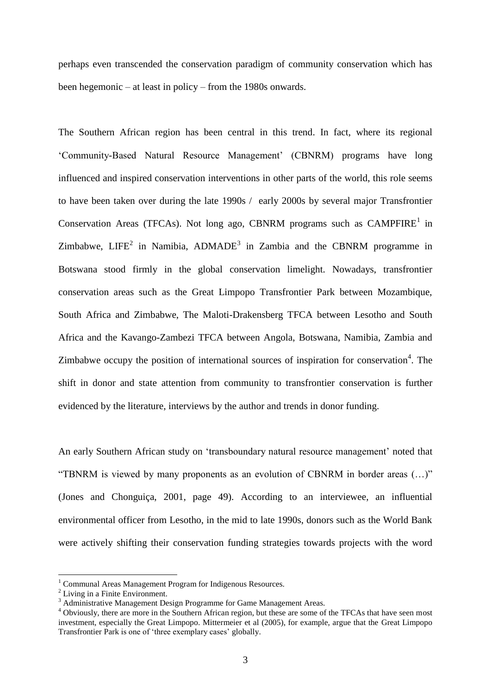perhaps even transcended the conservation paradigm of community conservation which has been hegemonic – at least in policy – from the 1980s onwards.

The Southern African region has been central in this trend. In fact, where its regional ‗Community-Based Natural Resource Management' (CBNRM) programs have long influenced and inspired conservation interventions in other parts of the world, this role seems to have been taken over during the late 1990s / early 2000s by several major Transfrontier Conservation Areas (TFCAs). Not long ago, CBNRM programs such as  $CAMPHRE<sup>1</sup>$  in Zimbabwe,  $LIFE<sup>2</sup>$  in Namibia, ADMADE<sup>3</sup> in Zambia and the CBNRM programme in Botswana stood firmly in the global conservation limelight. Nowadays, transfrontier conservation areas such as the Great Limpopo Transfrontier Park between Mozambique, South Africa and Zimbabwe, The Maloti-Drakensberg TFCA between Lesotho and South Africa and the Kavango-Zambezi TFCA between Angola, Botswana, Namibia, Zambia and Zimbabwe occupy the position of international sources of inspiration for conservation<sup>4</sup>. The shift in donor and state attention from community to transfrontier conservation is further evidenced by the literature, interviews by the author and trends in donor funding.

An early Southern African study on 'transboundary natural resource management' noted that "TBNRM is viewed by many proponents as an evolution of CBNRM in border areas  $(...)$ " (Jones and Chonguiça, 2001, page 49). According to an interviewee, an influential environmental officer from Lesotho, in the mid to late 1990s, donors such as the World Bank were actively shifting their conservation funding strategies towards projects with the word

<u>.</u>

<sup>1</sup> Communal Areas Management Program for Indigenous Resources.

<sup>&</sup>lt;sup>2</sup> Living in a Finite Environment.

<sup>&</sup>lt;sup>3</sup> Administrative Management Design Programme for Game Management Areas.

<sup>&</sup>lt;sup>4</sup> Obviously, there are more in the Southern African region, but these are some of the TFCAs that have seen most investment, especially the Great Limpopo. Mittermeier et al (2005), for example, argue that the Great Limpopo Transfrontier Park is one of 'three exemplary cases' globally.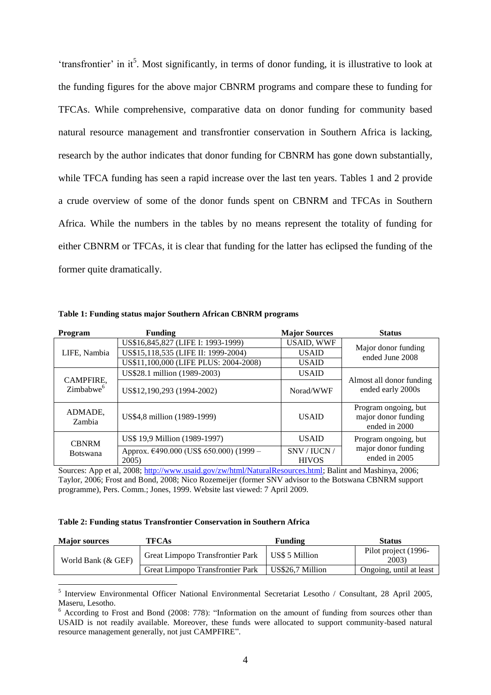'transfrontier' in it<sup>5</sup>. Most significantly, in terms of donor funding, it is illustrative to look at the funding figures for the above major CBNRM programs and compare these to funding for TFCAs. While comprehensive, comparative data on donor funding for community based natural resource management and transfrontier conservation in Southern Africa is lacking, research by the author indicates that donor funding for CBNRM has gone down substantially, while TFCA funding has seen a rapid increase over the last ten years. Tables 1 and 2 provide a crude overview of some of the donor funds spent on CBNRM and TFCAs in Southern Africa. While the numbers in the tables by no means represent the totality of funding for either CBNRM or TFCAs, it is clear that funding for the latter has eclipsed the funding of the former quite dramatically.

| Program                            | <b>Funding</b>                                  | <b>Major Sources</b>         | <b>Status</b>                                                |
|------------------------------------|-------------------------------------------------|------------------------------|--------------------------------------------------------------|
| LIFE, Nambia                       | US\$16,845,827 (LIFE I: 1993-1999)              | <b>USAID, WWF</b>            | Major donor funding<br>ended June 2008                       |
|                                    | US\$15,118,535 (LIFE II: 1999-2004)             | <b>USAID</b>                 |                                                              |
|                                    | US\$11,100,000 (LIFE PLUS: 2004-2008)           | <b>USAID</b>                 |                                                              |
| CAMPFIRE.<br>Zimbabwe <sup>6</sup> | US\$28.1 million (1989-2003)                    | <b>USAID</b>                 | Almost all donor funding<br>ended early 2000s                |
|                                    | US\$12,190,293 (1994-2002)                      | Norad/WWF                    |                                                              |
| ADMADE,<br>Zambia                  | US\$4,8 million (1989-1999)                     | <b>USAID</b>                 | Program ongoing, but<br>major donor funding<br>ended in 2000 |
| <b>CBNRM</b><br><b>Botswana</b>    | US\$ 19,9 Million (1989-1997)                   | <b>USAID</b>                 | Program ongoing, but<br>major donor funding<br>ended in 2005 |
|                                    | Approx. €490.000 (US\$ 650.000) (1999 –<br>2005 | SNV / IUCN /<br><b>HIVOS</b> |                                                              |

**Table 1: Funding status major Southern African CBNRM programs**

Sources: App et al, 2008[; http://www.usaid.gov/zw/html/NaturalResources.html;](http://www.usaid.gov/zw/html/NaturalResources.html) Balint and Mashinya, 2006; Taylor, 2006; Frost and Bond, 2008; Nico Rozemeijer (former SNV advisor to the Botswana CBNRM support programme), Pers. Comm.; Jones, 1999. Website last viewed: 7 April 2009.

#### **Table 2: Funding status Transfrontier Conservation in Southern Africa**

<u>.</u>

| <b>Major sources</b> | TFCAs                                             | <b>Funding</b>   | <b>Status</b>                 |
|----------------------|---------------------------------------------------|------------------|-------------------------------|
| World Bank (& GEF)   | Great Limpopo Transfrontier Park   US\$ 5 Million |                  | Pilot project (1996-<br>2003) |
|                      | Great Limpopo Transfrontier Park                  | US\$26.7 Million | Ongoing, until at least       |

<sup>5</sup> Interview Environmental Officer National Environmental Secretariat Lesotho / Consultant, 28 April 2005, Maseru, Lesotho.

 $6$  According to Frost and Bond (2008: 778): "Information on the amount of funding from sources other than USAID is not readily available. Moreover, these funds were allocated to support community-based natural resource management generally, not just CAMPFIRE".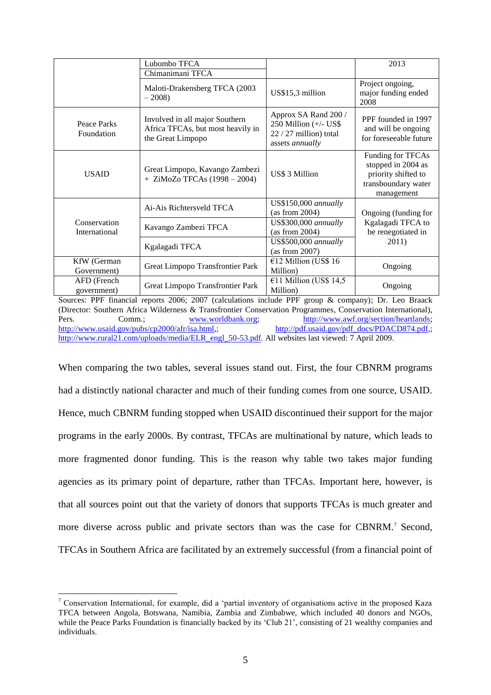|                               | Lubombo TFCA                                                                             |                                                                                                     | 2013                                                                                                |
|-------------------------------|------------------------------------------------------------------------------------------|-----------------------------------------------------------------------------------------------------|-----------------------------------------------------------------------------------------------------|
|                               | Chimanimani TFCA                                                                         |                                                                                                     |                                                                                                     |
|                               | Maloti-Drakensberg TFCA (2003<br>$-2008$                                                 | US\$15,3 million                                                                                    | Project ongoing,<br>major funding ended<br>2008                                                     |
| Peace Parks<br>Foundation     | Involved in all major Southern<br>Africa TFCAs, but most heavily in<br>the Great Limpopo | Approx SA Rand 200 /<br>250 Million $(+/-$ US\$<br>$22/27$ million) total<br>assets <i>annually</i> | PPF founded in 1997<br>and will be ongoing<br>for foreseeable future                                |
| <b>USAID</b>                  | Great Limpopo, Kavango Zambezi<br>$+$ ZiMoZo TFCAs (1998 – 2004)                         | <b>US\$ 3 Million</b>                                                                               | Funding for TFCAs<br>stopped in 2004 as<br>priority shifted to<br>transboundary water<br>management |
|                               | Ai-Ais Richtersveld TFCA                                                                 | US\$150,000 annually<br>(as from 2004)                                                              | Ongoing (funding for                                                                                |
| Conservation<br>International | Kavango Zambezi TFCA                                                                     | US\$300,000 annually<br>(as from 2004)                                                              | Kgalagadi TFCA to<br>be renegotiated in                                                             |
|                               | Kgalagadi TFCA                                                                           | US\$500,000 annually<br>(as from 2007)                                                              | 2011)                                                                                               |
| KfW (German<br>Government)    | Great Limpopo Transfrontier Park                                                         | €12 Million (US\$ 16<br>Million)                                                                    | Ongoing                                                                                             |
| AFD (French<br>government)    | Great Limpopo Transfrontier Park                                                         | €11 Million (US\$ 14,5<br>Million)                                                                  | Ongoing                                                                                             |

Sources: PPF financial reports 2006; 2007 (calculations include PPF group & company); Dr. Leo Braack (Director: Southern Africa Wilderness & Transfrontier Conservation Programmes, Conservation International), Pers. Comm.; [www.worldbank.org;](http://www.worldbank.org/) [http://www.awf.org/section/heartlands;](http://www.awf.org/section/heartlands) [http://www.usaid.gov/pubs/cp2000/afr/isa.html,](http://www.usaid.gov/pubs/cp2000/afr/isa.html); [http://pdf.usaid.gov/pdf\\_docs/PDACD874.pdf,](http://pdf.usaid.gov/pdf_docs/PDACD874.pdf); [http://www.rural21.com/uploads/media/ELR\\_engl\\_50-53.pdf.](http://www.rural21.com/uploads/media/ELR_engl_50-53.pdf) All websites last viewed: 7 April 2009.

When comparing the two tables, several issues stand out. First, the four CBNRM programs had a distinctly national character and much of their funding comes from one source, USAID. Hence, much CBNRM funding stopped when USAID discontinued their support for the major programs in the early 2000s. By contrast, TFCAs are multinational by nature, which leads to more fragmented donor funding. This is the reason why table two takes major funding agencies as its primary point of departure, rather than TFCAs. Important here, however, is that all sources point out that the variety of donors that supports TFCAs is much greater and more diverse across public and private sectors than was the case for CBNRM.<sup>7</sup> Second, TFCAs in Southern Africa are facilitated by an extremely successful (from a financial point of

 $7$  Conservation International, for example, did a 'partial inventory of organisations active in the proposed Kaza TFCA between Angola, Botswana, Namibia, Zambia and Zimbabwe, which included 40 donors and NGOs, while the Peace Parks Foundation is financially backed by its 'Club 21', consisting of 21 wealthy companies and individuals.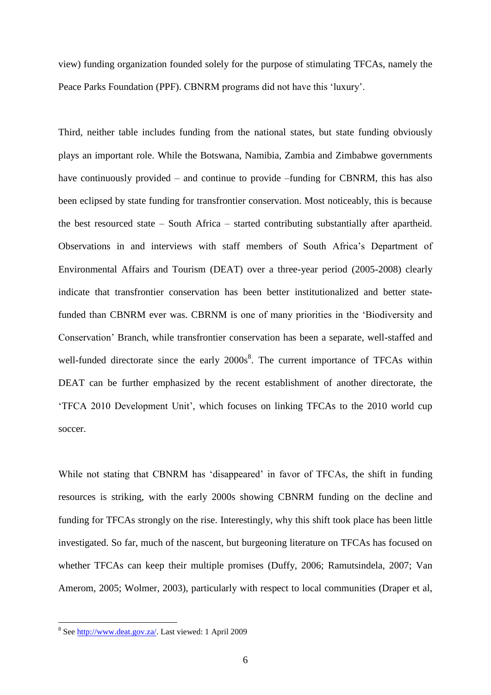view) funding organization founded solely for the purpose of stimulating TFCAs, namely the Peace Parks Foundation (PPF). CBNRM programs did not have this 'luxury'.

Third, neither table includes funding from the national states, but state funding obviously plays an important role. While the Botswana, Namibia, Zambia and Zimbabwe governments have continuously provided – and continue to provide –funding for CBNRM, this has also been eclipsed by state funding for transfrontier conservation. Most noticeably, this is because the best resourced state – South Africa – started contributing substantially after apartheid. Observations in and interviews with staff members of South Africa's Department of Environmental Affairs and Tourism (DEAT) over a three-year period (2005-2008) clearly indicate that transfrontier conservation has been better institutionalized and better statefunded than CBNRM ever was. CBRNM is one of many priorities in the 'Biodiversity and Conservation' Branch, while transfrontier conservation has been a separate, well-staffed and well-funded directorate since the early  $2000s<sup>8</sup>$ . The current importance of TFCAs within DEAT can be further emphasized by the recent establishment of another directorate, the ‗TFCA 2010 Development Unit', which focuses on linking TFCAs to the 2010 world cup soccer.

While not stating that CBNRM has 'disappeared' in favor of TFCAs, the shift in funding resources is striking, with the early 2000s showing CBNRM funding on the decline and funding for TFCAs strongly on the rise. Interestingly, why this shift took place has been little investigated. So far, much of the nascent, but burgeoning literature on TFCAs has focused on whether TFCAs can keep their multiple promises (Duffy, 2006; Ramutsindela, 2007; Van Amerom, 2005; Wolmer, 2003), particularly with respect to local communities (Draper et al,

<sup>&</sup>lt;sup>8</sup> See [http://www.deat.gov.za/.](http://www.deat.gov.za/) Last viewed: 1 April 2009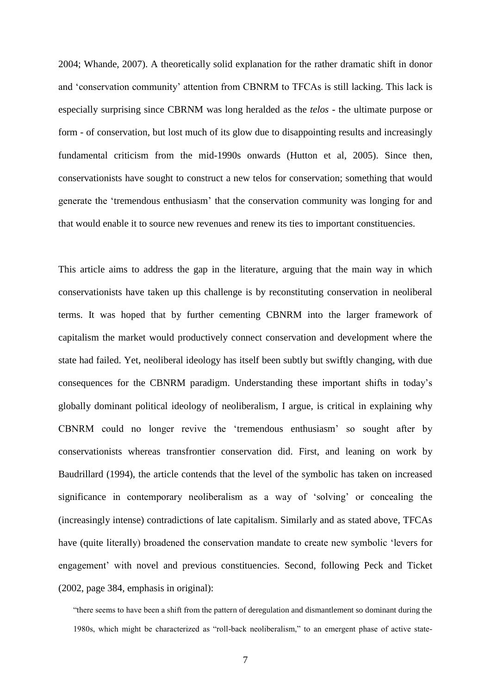2004; Whande, 2007). A theoretically solid explanation for the rather dramatic shift in donor and 'conservation community' attention from CBNRM to TFCAs is still lacking. This lack is especially surprising since CBRNM was long heralded as the *telos* - the ultimate purpose or form - of conservation, but lost much of its glow due to disappointing results and increasingly fundamental criticism from the mid-1990s onwards (Hutton et al, 2005). Since then, conservationists have sought to construct a new telos for conservation; something that would generate the 'tremendous enthusiasm' that the conservation community was longing for and that would enable it to source new revenues and renew its ties to important constituencies.

This article aims to address the gap in the literature, arguing that the main way in which conservationists have taken up this challenge is by reconstituting conservation in neoliberal terms. It was hoped that by further cementing CBNRM into the larger framework of capitalism the market would productively connect conservation and development where the state had failed. Yet, neoliberal ideology has itself been subtly but swiftly changing, with due consequences for the CBNRM paradigm. Understanding these important shifts in today's globally dominant political ideology of neoliberalism, I argue, is critical in explaining why CBNRM could no longer revive the 'tremendous enthusiasm' so sought after by conservationists whereas transfrontier conservation did. First, and leaning on work by Baudrillard (1994), the article contends that the level of the symbolic has taken on increased significance in contemporary neoliberalism as a way of 'solving' or concealing the (increasingly intense) contradictions of late capitalism. Similarly and as stated above, TFCAs have (quite literally) broadened the conservation mandate to create new symbolic 'levers for engagement' with novel and previous constituencies. Second, following Peck and Ticket (2002, page 384, emphasis in original):

―there seems to have been a shift from the pattern of deregulation and dismantlement so dominant during the 1980s, which might be characterized as "roll-back neoliberalism," to an emergent phase of active state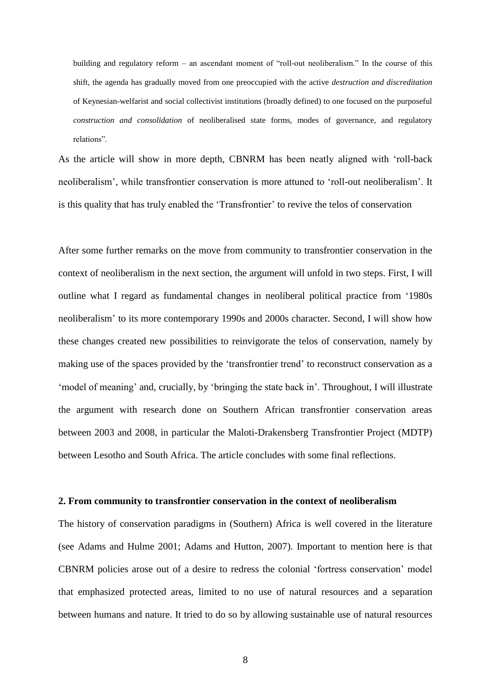building and regulatory reform – an ascendant moment of "roll-out neoliberalism." In the course of this shift, the agenda has gradually moved from one preoccupied with the active *destruction and discreditation* of Keynesian-welfarist and social collectivist institutions (broadly defined) to one focused on the purposeful *construction and consolidation* of neoliberalised state forms, modes of governance, and regulatory relations".

As the article will show in more depth, CBNRM has been neatly aligned with 'roll-back neoliberalism', while transfrontier conservation is more attuned to 'roll-out neoliberalism'. It is this quality that has truly enabled the 'Transfrontier' to revive the telos of conservation

After some further remarks on the move from community to transfrontier conservation in the context of neoliberalism in the next section, the argument will unfold in two steps. First, I will outline what I regard as fundamental changes in neoliberal political practice from '1980s neoliberalism' to its more contemporary 1990s and 2000s character. Second, I will show how these changes created new possibilities to reinvigorate the telos of conservation, namely by making use of the spaces provided by the 'transfrontier trend' to reconstruct conservation as a ‗model of meaning' and, crucially, by ‗bringing the state back in'. Throughout, I will illustrate the argument with research done on Southern African transfrontier conservation areas between 2003 and 2008, in particular the Maloti-Drakensberg Transfrontier Project (MDTP) between Lesotho and South Africa. The article concludes with some final reflections.

# **2. From community to transfrontier conservation in the context of neoliberalism**

The history of conservation paradigms in (Southern) Africa is well covered in the literature (see Adams and Hulme 2001; Adams and Hutton, 2007). Important to mention here is that CBNRM policies arose out of a desire to redress the colonial ‗fortress conservation' model that emphasized protected areas, limited to no use of natural resources and a separation between humans and nature. It tried to do so by allowing sustainable use of natural resources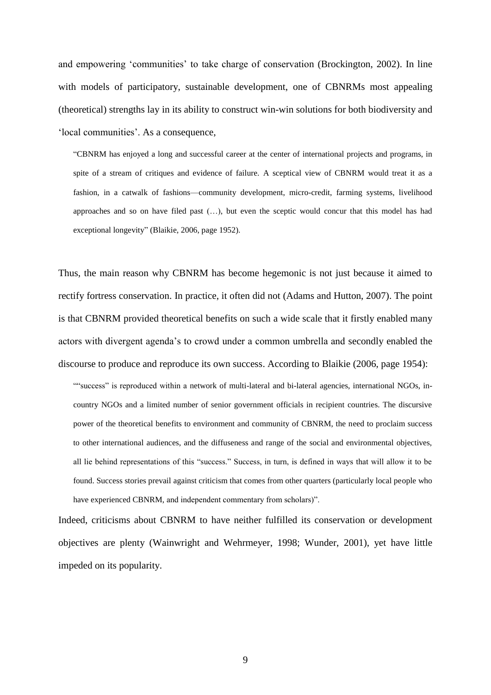and empowering 'communities' to take charge of conservation (Brockington, 2002). In line with models of participatory, sustainable development, one of CBNRMs most appealing (theoretical) strengths lay in its ability to construct win-win solutions for both biodiversity and 'local communities'. As a consequence,

―CBNRM has enjoyed a long and successful career at the center of international projects and programs, in spite of a stream of critiques and evidence of failure. A sceptical view of CBNRM would treat it as a fashion, in a catwalk of fashions—community development, micro-credit, farming systems, livelihood approaches and so on have filed past (…), but even the sceptic would concur that this model has had exceptional longevity" (Blaikie, 2006, page 1952).

Thus, the main reason why CBNRM has become hegemonic is not just because it aimed to rectify fortress conservation. In practice, it often did not (Adams and Hutton, 2007). The point is that CBNRM provided theoretical benefits on such a wide scale that it firstly enabled many actors with divergent agenda's to crowd under a common umbrella and secondly enabled the discourse to produce and reproduce its own success. According to Blaikie (2006, page 1954):

――success‖ is reproduced within a network of multi-lateral and bi-lateral agencies, international NGOs, incountry NGOs and a limited number of senior government officials in recipient countries. The discursive power of the theoretical benefits to environment and community of CBNRM, the need to proclaim success to other international audiences, and the diffuseness and range of the social and environmental objectives, all lie behind representations of this "success." Success, in turn, is defined in ways that will allow it to be found. Success stories prevail against criticism that comes from other quarters (particularly local people who have experienced CBNRM, and independent commentary from scholars)".

Indeed, criticisms about CBNRM to have neither fulfilled its conservation or development objectives are plenty (Wainwright and Wehrmeyer, 1998; Wunder, 2001), yet have little impeded on its popularity.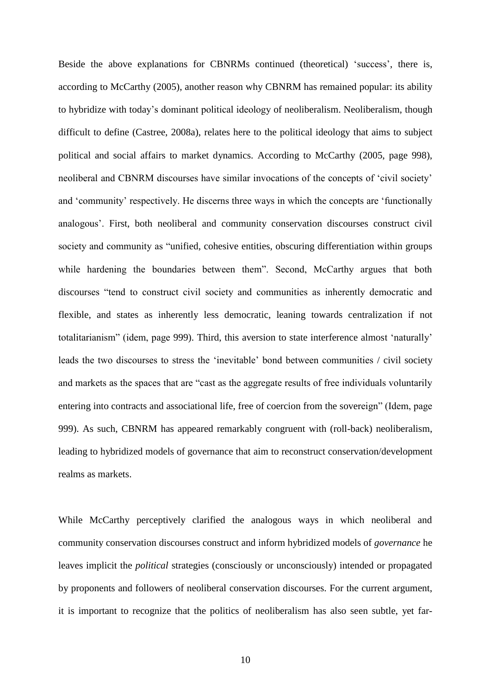Beside the above explanations for CBNRMs continued (theoretical) 'success', there is, according to McCarthy (2005), another reason why CBNRM has remained popular: its ability to hybridize with today's dominant political ideology of neoliberalism. Neoliberalism, though difficult to define (Castree, 2008a), relates here to the political ideology that aims to subject political and social affairs to market dynamics. According to McCarthy (2005, page 998), neoliberal and CBNRM discourses have similar invocations of the concepts of ‗civil society' and 'community' respectively. He discerns three ways in which the concepts are 'functionally analogous'. First, both neoliberal and community conservation discourses construct civil society and community as "unified, cohesive entities, obscuring differentiation within groups while hardening the boundaries between them". Second, McCarthy argues that both discourses ―tend to construct civil society and communities as inherently democratic and flexible, and states as inherently less democratic, leaning towards centralization if not totalitarianism" (idem, page 999). Third, this aversion to state interference almost 'naturally' leads the two discourses to stress the 'inevitable' bond between communities / civil society and markets as the spaces that are "cast as the aggregate results of free individuals voluntarily entering into contracts and associational life, free of coercion from the sovereign" (Idem, page 999). As such, CBNRM has appeared remarkably congruent with (roll-back) neoliberalism, leading to hybridized models of governance that aim to reconstruct conservation/development realms as markets.

While McCarthy perceptively clarified the analogous ways in which neoliberal and community conservation discourses construct and inform hybridized models of *governance* he leaves implicit the *political* strategies (consciously or unconsciously) intended or propagated by proponents and followers of neoliberal conservation discourses. For the current argument, it is important to recognize that the politics of neoliberalism has also seen subtle, yet far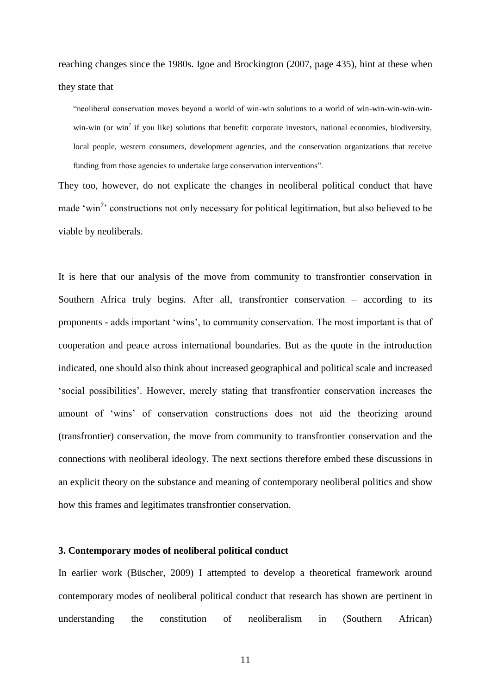reaching changes since the 1980s. Igoe and Brockington (2007, page 435), hint at these when they state that

―neoliberal conservation moves beyond a world of win-win solutions to a world of win-win-win-win-winwin-win (or win<sup>7</sup> if you like) solutions that benefit: corporate investors, national economies, biodiversity, local people, western consumers, development agencies, and the conservation organizations that receive funding from those agencies to undertake large conservation interventions".

They too, however, do not explicate the changes in neoliberal political conduct that have made 'win<sup>7</sup>' constructions not only necessary for political legitimation, but also believed to be viable by neoliberals.

It is here that our analysis of the move from community to transfrontier conservation in Southern Africa truly begins. After all, transfrontier conservation – according to its proponents - adds important ‗wins', to community conservation. The most important is that of cooperation and peace across international boundaries. But as the quote in the introduction indicated, one should also think about increased geographical and political scale and increased ‗social possibilities'. However, merely stating that transfrontier conservation increases the amount of ‗wins' of conservation constructions does not aid the theorizing around (transfrontier) conservation, the move from community to transfrontier conservation and the connections with neoliberal ideology. The next sections therefore embed these discussions in an explicit theory on the substance and meaning of contemporary neoliberal politics and show how this frames and legitimates transfrontier conservation.

# **3. Contemporary modes of neoliberal political conduct**

In earlier work (Büscher, 2009) I attempted to develop a theoretical framework around contemporary modes of neoliberal political conduct that research has shown are pertinent in understanding the constitution of neoliberalism in (Southern African)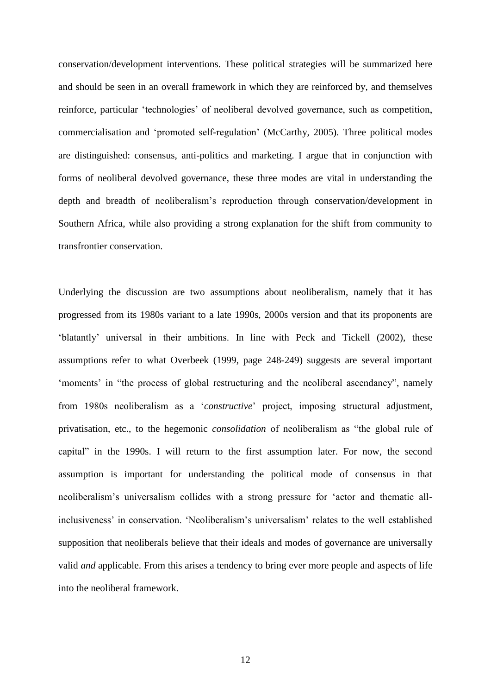conservation/development interventions. These political strategies will be summarized here and should be seen in an overall framework in which they are reinforced by, and themselves reinforce, particular 'technologies' of neoliberal devolved governance, such as competition, commercialisation and 'promoted self-regulation' (McCarthy, 2005). Three political modes are distinguished: consensus, anti-politics and marketing. I argue that in conjunction with forms of neoliberal devolved governance, these three modes are vital in understanding the depth and breadth of neoliberalism's reproduction through conservation/development in Southern Africa, while also providing a strong explanation for the shift from community to transfrontier conservation.

Underlying the discussion are two assumptions about neoliberalism, namely that it has progressed from its 1980s variant to a late 1990s, 2000s version and that its proponents are 'blatantly' universal in their ambitions. In line with Peck and Tickell (2002), these assumptions refer to what Overbeek (1999, page 248-249) suggests are several important 'moments' in "the process of global restructuring and the neoliberal ascendancy", namely from 1980s neoliberalism as a ‗*constructive*' project, imposing structural adjustment, privatisation, etc., to the hegemonic *consolidation* of neoliberalism as "the global rule of capital" in the 1990s. I will return to the first assumption later. For now, the second assumption is important for understanding the political mode of consensus in that neoliberalism's universalism collides with a strong pressure for ‗actor and thematic allinclusiveness' in conservation. 'Neoliberalism's universalism' relates to the well established supposition that neoliberals believe that their ideals and modes of governance are universally valid *and* applicable. From this arises a tendency to bring ever more people and aspects of life into the neoliberal framework.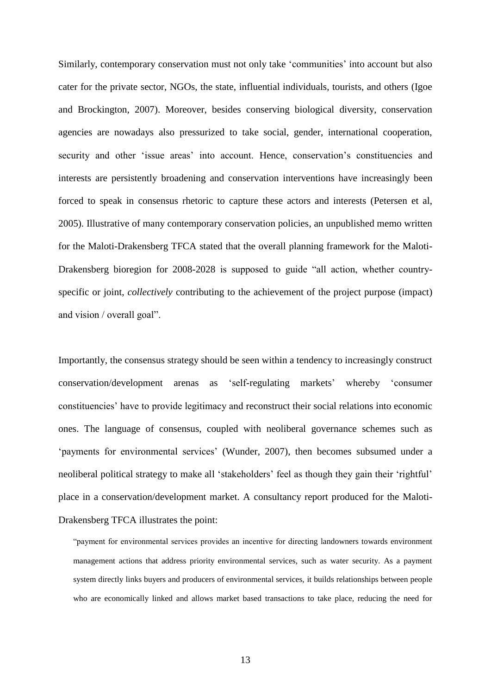Similarly, contemporary conservation must not only take 'communities' into account but also cater for the private sector, NGOs, the state, influential individuals, tourists, and others (Igoe and Brockington, 2007). Moreover, besides conserving biological diversity, conservation agencies are nowadays also pressurized to take social, gender, international cooperation, security and other 'issue areas' into account. Hence, conservation's constituencies and interests are persistently broadening and conservation interventions have increasingly been forced to speak in consensus rhetoric to capture these actors and interests (Petersen et al, 2005). Illustrative of many contemporary conservation policies, an unpublished memo written for the Maloti-Drakensberg TFCA stated that the overall planning framework for the Maloti-Drakensberg bioregion for 2008-2028 is supposed to guide "all action, whether countryspecific or joint, *collectively* contributing to the achievement of the project purpose (impact) and vision / overall goal".

Importantly, the consensus strategy should be seen within a tendency to increasingly construct conservation/development arenas as 'self-regulating markets' whereby 'consumer constituencies' have to provide legitimacy and reconstruct their social relations into economic ones. The language of consensus, coupled with neoliberal governance schemes such as ‗payments for environmental services' (Wunder, 2007), then becomes subsumed under a neoliberal political strategy to make all 'stakeholders' feel as though they gain their 'rightful' place in a conservation/development market. A consultancy report produced for the Maloti-Drakensberg TFCA illustrates the point:

―payment for environmental services provides an incentive for directing landowners towards environment management actions that address priority environmental services, such as water security. As a payment system directly links buyers and producers of environmental services, it builds relationships between people who are economically linked and allows market based transactions to take place, reducing the need for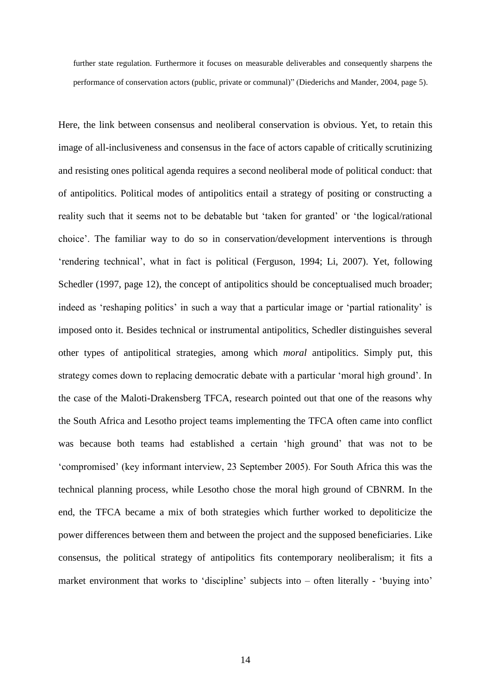further state regulation. Furthermore it focuses on measurable deliverables and consequently sharpens the performance of conservation actors (public, private or communal)" (Diederichs and Mander, 2004, page 5).

Here, the link between consensus and neoliberal conservation is obvious. Yet, to retain this image of all-inclusiveness and consensus in the face of actors capable of critically scrutinizing and resisting ones political agenda requires a second neoliberal mode of political conduct: that of antipolitics. Political modes of antipolitics entail a strategy of positing or constructing a reality such that it seems not to be debatable but 'taken for granted' or 'the logical/rational choice'. The familiar way to do so in conservation/development interventions is through ‗rendering technical', what in fact is political (Ferguson, 1994; Li, 2007). Yet, following Schedler (1997, page 12), the concept of antipolitics should be conceptualised much broader; indeed as 'reshaping politics' in such a way that a particular image or 'partial rationality' is imposed onto it. Besides technical or instrumental antipolitics, Schedler distinguishes several other types of antipolitical strategies, among which *moral* antipolitics. Simply put, this strategy comes down to replacing democratic debate with a particular 'moral high ground'. In the case of the Maloti-Drakensberg TFCA, research pointed out that one of the reasons why the South Africa and Lesotho project teams implementing the TFCA often came into conflict was because both teams had established a certain 'high ground' that was not to be ‗compromised' (key informant interview, 23 September 2005). For South Africa this was the technical planning process, while Lesotho chose the moral high ground of CBNRM. In the end, the TFCA became a mix of both strategies which further worked to depoliticize the power differences between them and between the project and the supposed beneficiaries. Like consensus, the political strategy of antipolitics fits contemporary neoliberalism; it fits a market environment that works to 'discipline' subjects into  $-$  often literally - 'buying into'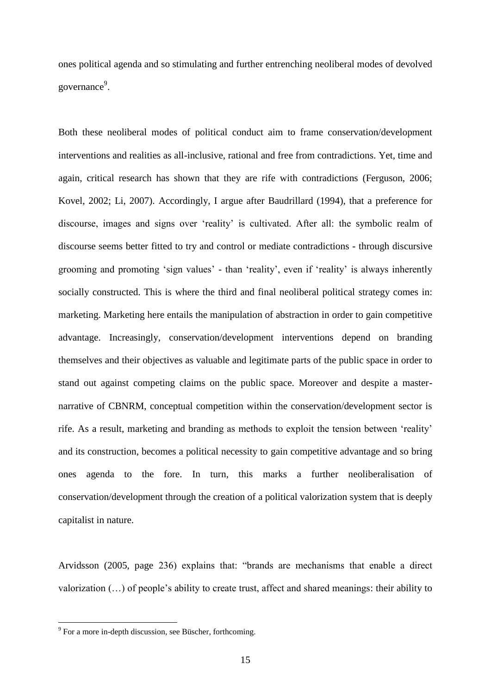ones political agenda and so stimulating and further entrenching neoliberal modes of devolved governance<sup>9</sup>.

Both these neoliberal modes of political conduct aim to frame conservation/development interventions and realities as all-inclusive, rational and free from contradictions. Yet, time and again, critical research has shown that they are rife with contradictions (Ferguson, 2006; Kovel, 2002; Li, 2007). Accordingly, I argue after Baudrillard (1994), that a preference for discourse, images and signs over 'reality' is cultivated. After all: the symbolic realm of discourse seems better fitted to try and control or mediate contradictions - through discursive grooming and promoting 'sign values' - than 'reality', even if 'reality' is always inherently socially constructed. This is where the third and final neoliberal political strategy comes in: marketing. Marketing here entails the manipulation of abstraction in order to gain competitive advantage. Increasingly, conservation/development interventions depend on branding themselves and their objectives as valuable and legitimate parts of the public space in order to stand out against competing claims on the public space. Moreover and despite a masternarrative of CBNRM, conceptual competition within the conservation/development sector is rife. As a result, marketing and branding as methods to exploit the tension between 'reality' and its construction, becomes a political necessity to gain competitive advantage and so bring ones agenda to the fore. In turn, this marks a further neoliberalisation of conservation/development through the creation of a political valorization system that is deeply capitalist in nature.

Arvidsson (2005, page 236) explains that: "brands are mechanisms that enable a direct valorization (…) of people's ability to create trust, affect and shared meanings: their ability to

For a more in-depth discussion, see Büscher, forthcoming.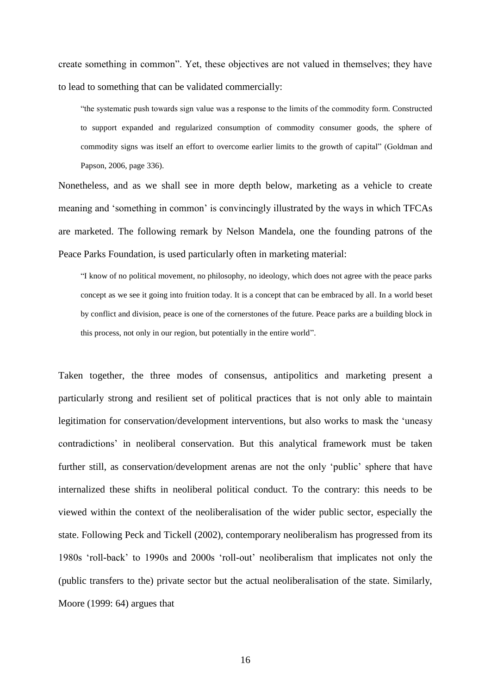create something in common". Yet, these objectives are not valued in themselves; they have to lead to something that can be validated commercially:

―the systematic push towards sign value was a response to the limits of the commodity form. Constructed to support expanded and regularized consumption of commodity consumer goods, the sphere of commodity signs was itself an effort to overcome earlier limits to the growth of capital" (Goldman and Papson, 2006, page 336).

Nonetheless, and as we shall see in more depth below, marketing as a vehicle to create meaning and 'something in common' is convincingly illustrated by the ways in which TFCAs are marketed. The following remark by Nelson Mandela, one the founding patrons of the Peace Parks Foundation, is used particularly often in marketing material:

―I know of no political movement, no philosophy, no ideology, which does not agree with the peace parks concept as we see it going into fruition today. It is a concept that can be embraced by all. In a world beset by conflict and division, peace is one of the cornerstones of the future. Peace parks are a building block in this process, not only in our region, but potentially in the entire world".

Taken together, the three modes of consensus, antipolitics and marketing present a particularly strong and resilient set of political practices that is not only able to maintain legitimation for conservation/development interventions, but also works to mask the 'uneasy contradictions' in neoliberal conservation. But this analytical framework must be taken further still, as conservation/development arenas are not the only 'public' sphere that have internalized these shifts in neoliberal political conduct. To the contrary: this needs to be viewed within the context of the neoliberalisation of the wider public sector, especially the state. Following Peck and Tickell (2002), contemporary neoliberalism has progressed from its 1980s ‗roll-back' to 1990s and 2000s ‗roll-out' neoliberalism that implicates not only the (public transfers to the) private sector but the actual neoliberalisation of the state. Similarly, Moore (1999: 64) argues that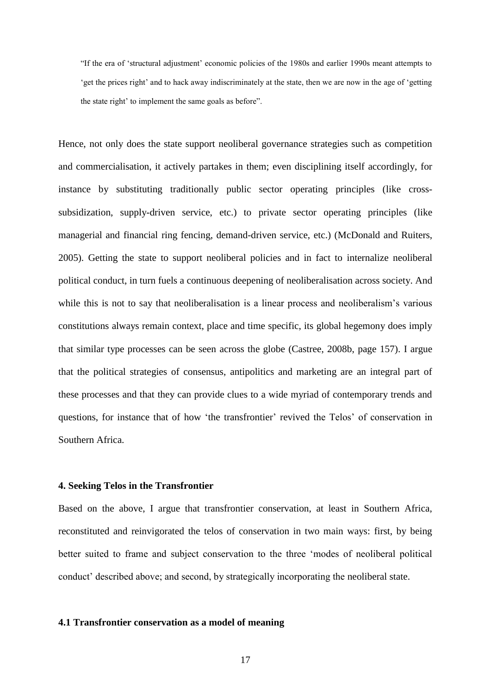―If the era of ‗structural adjustment' economic policies of the 1980s and earlier 1990s meant attempts to ‗get the prices right' and to hack away indiscriminately at the state, then we are now in the age of ‗getting the state right' to implement the same goals as before".

Hence, not only does the state support neoliberal governance strategies such as competition and commercialisation, it actively partakes in them; even disciplining itself accordingly, for instance by substituting traditionally public sector operating principles (like crosssubsidization, supply-driven service, etc.) to private sector operating principles (like managerial and financial ring fencing, demand-driven service, etc.) (McDonald and Ruiters, 2005). Getting the state to support neoliberal policies and in fact to internalize neoliberal political conduct, in turn fuels a continuous deepening of neoliberalisation across society. And while this is not to say that neoliberalisation is a linear process and neoliberalism's various constitutions always remain context, place and time specific, its global hegemony does imply that similar type processes can be seen across the globe (Castree, 2008b, page 157). I argue that the political strategies of consensus, antipolitics and marketing are an integral part of these processes and that they can provide clues to a wide myriad of contemporary trends and questions, for instance that of how 'the transfrontier' revived the Telos' of conservation in Southern Africa.

#### **4. Seeking Telos in the Transfrontier**

Based on the above, I argue that transfrontier conservation, at least in Southern Africa, reconstituted and reinvigorated the telos of conservation in two main ways: first, by being better suited to frame and subject conservation to the three 'modes of neoliberal political conduct' described above; and second, by strategically incorporating the neoliberal state.

# **4.1 Transfrontier conservation as a model of meaning**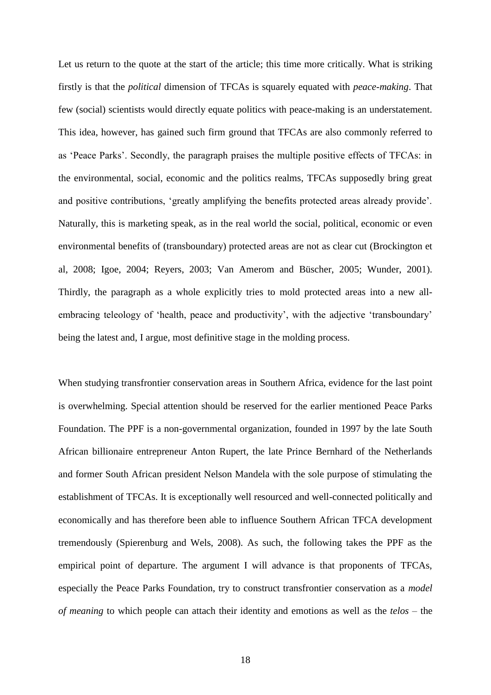Let us return to the quote at the start of the article; this time more critically. What is striking firstly is that the *political* dimension of TFCAs is squarely equated with *peace-making*. That few (social) scientists would directly equate politics with peace-making is an understatement. This idea, however, has gained such firm ground that TFCAs are also commonly referred to as 'Peace Parks'. Secondly, the paragraph praises the multiple positive effects of TFCAs: in the environmental, social, economic and the politics realms, TFCAs supposedly bring great and positive contributions, 'greatly amplifying the benefits protected areas already provide'. Naturally, this is marketing speak, as in the real world the social, political, economic or even environmental benefits of (transboundary) protected areas are not as clear cut (Brockington et al, 2008; Igoe, 2004; Reyers, 2003; Van Amerom and Büscher, 2005; Wunder, 2001). Thirdly, the paragraph as a whole explicitly tries to mold protected areas into a new allembracing teleology of 'health, peace and productivity', with the adjective 'transboundary' being the latest and, I argue, most definitive stage in the molding process.

When studying transfrontier conservation areas in Southern Africa, evidence for the last point is overwhelming. Special attention should be reserved for the earlier mentioned Peace Parks Foundation. The PPF is a non-governmental organization, founded in 1997 by the late South African billionaire entrepreneur Anton Rupert, the late Prince Bernhard of the Netherlands and former South African president Nelson Mandela with the sole purpose of stimulating the establishment of TFCAs. It is exceptionally well resourced and well-connected politically and economically and has therefore been able to influence Southern African TFCA development tremendously (Spierenburg and Wels, 2008). As such, the following takes the PPF as the empirical point of departure. The argument I will advance is that proponents of TFCAs, especially the Peace Parks Foundation, try to construct transfrontier conservation as a *model of meaning* to which people can attach their identity and emotions as well as the *telos* – the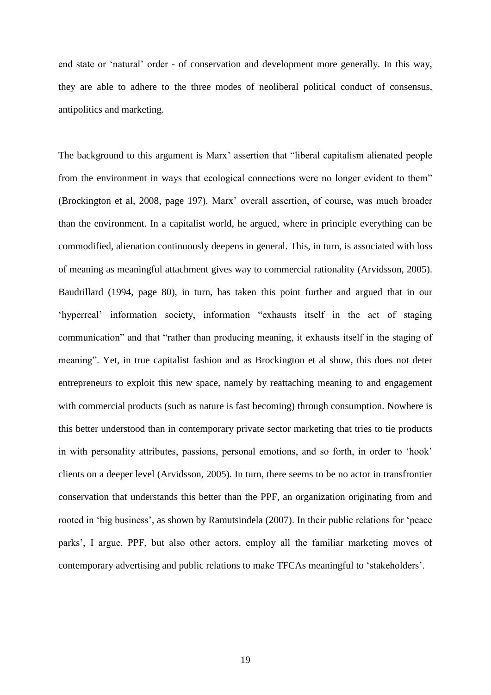end state or 'natural' order - of conservation and development more generally. In this way, they are able to adhere to the three modes of neoliberal political conduct of consensus, antipolitics and marketing.

The background to this argument is Marx' assertion that "liberal capitalism alienated people from the environment in ways that ecological connections were no longer evident to them<sup>?</sup> (Brockington et al, 2008, page 197). Marx' overall assertion, of course, was much broader than the environment. In a capitalist world, he argued, where in principle everything can be commodified, alienation continuously deepens in general. This, in turn, is associated with loss of meaning as meaningful attachment gives way to commercial rationality (Arvidsson, 2005). Baudrillard (1994, page 80), in turn, has taken this point further and argued that in our 'hyperreal' information society, information "exhausts itself in the act of staging communication" and that "rather than producing meaning, it exhausts itself in the staging of meaning". Yet, in true capitalist fashion and as Brockington et al show, this does not deter entrepreneurs to exploit this new space, namely by reattaching meaning to and engagement with commercial products (such as nature is fast becoming) through consumption. Nowhere is this better understood than in contemporary private sector marketing that tries to tie products in with personality attributes, passions, personal emotions, and so forth, in order to 'hook' clients on a deeper level (Arvidsson, 2005). In turn, there seems to be no actor in transfrontier conservation that understands this better than the PPF, an organization originating from and rooted in 'big business', as shown by Ramutsindela (2007). In their public relations for 'peace parks', I argue, PPF, but also other actors, employ all the familiar marketing moves of contemporary advertising and public relations to make TFCAs meaningful to 'stakeholders'.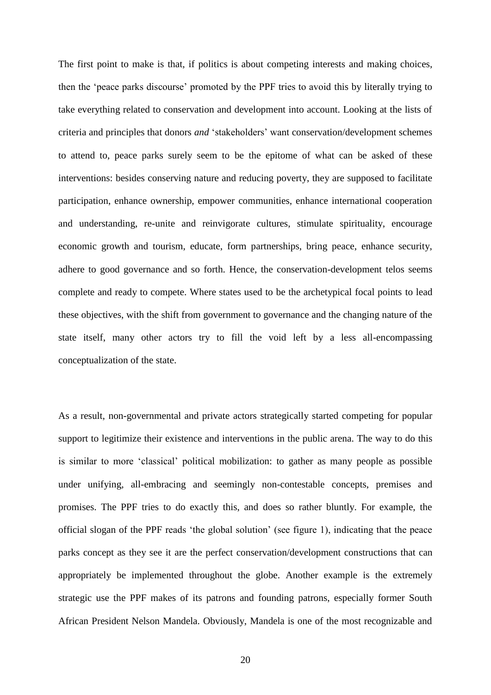The first point to make is that, if politics is about competing interests and making choices, then the 'peace parks discourse' promoted by the PPF tries to avoid this by literally trying to take everything related to conservation and development into account. Looking at the lists of criteria and principles that donors *and* 'stakeholders' want conservation/development schemes to attend to, peace parks surely seem to be the epitome of what can be asked of these interventions: besides conserving nature and reducing poverty, they are supposed to facilitate participation, enhance ownership, empower communities, enhance international cooperation and understanding, re-unite and reinvigorate cultures, stimulate spirituality, encourage economic growth and tourism, educate, form partnerships, bring peace, enhance security, adhere to good governance and so forth. Hence, the conservation-development telos seems complete and ready to compete. Where states used to be the archetypical focal points to lead these objectives, with the shift from government to governance and the changing nature of the state itself, many other actors try to fill the void left by a less all-encompassing conceptualization of the state.

As a result, non-governmental and private actors strategically started competing for popular support to legitimize their existence and interventions in the public arena. The way to do this is similar to more ‗classical' political mobilization: to gather as many people as possible under unifying, all-embracing and seemingly non-contestable concepts, premises and promises. The PPF tries to do exactly this, and does so rather bluntly. For example, the official slogan of the PPF reads ‗the global solution' (see figure 1), indicating that the peace parks concept as they see it are the perfect conservation/development constructions that can appropriately be implemented throughout the globe. Another example is the extremely strategic use the PPF makes of its patrons and founding patrons, especially former South African President Nelson Mandela. Obviously, Mandela is one of the most recognizable and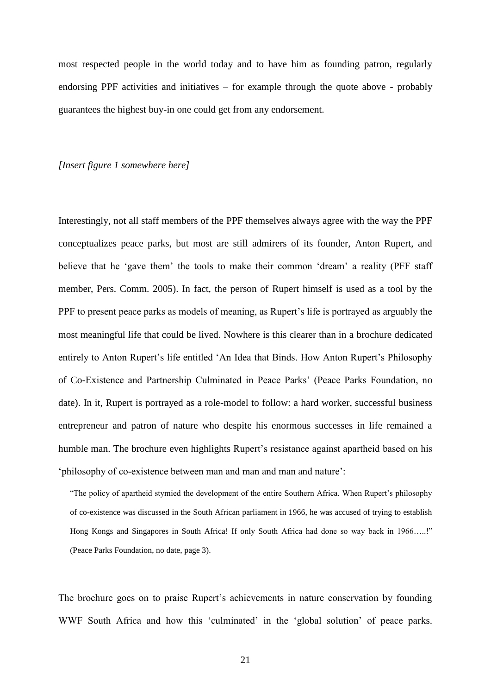most respected people in the world today and to have him as founding patron, regularly endorsing PPF activities and initiatives – for example through the quote above - probably guarantees the highest buy-in one could get from any endorsement.

# *[Insert figure 1 somewhere here]*

Interestingly, not all staff members of the PPF themselves always agree with the way the PPF conceptualizes peace parks, but most are still admirers of its founder, Anton Rupert, and believe that he 'gave them' the tools to make their common 'dream' a reality (PFF staff member, Pers. Comm. 2005). In fact, the person of Rupert himself is used as a tool by the PPF to present peace parks as models of meaning, as Rupert's life is portrayed as arguably the most meaningful life that could be lived. Nowhere is this clearer than in a brochure dedicated entirely to Anton Rupert's life entitled 'An Idea that Binds. How Anton Rupert's Philosophy of Co-Existence and Partnership Culminated in Peace Parks' (Peace Parks Foundation, no date). In it, Rupert is portrayed as a role-model to follow: a hard worker, successful business entrepreneur and patron of nature who despite his enormous successes in life remained a humble man. The brochure even highlights Rupert's resistance against apartheid based on his 'philosophy of co-existence between man and man and man and nature':

―The policy of apartheid stymied the development of the entire Southern Africa. When Rupert's philosophy of co-existence was discussed in the South African parliament in 1966, he was accused of trying to establish Hong Kongs and Singapores in South Africa! If only South Africa had done so way back in 1966....!" (Peace Parks Foundation, no date, page 3).

The brochure goes on to praise Rupert's achievements in nature conservation by founding WWF South Africa and how this 'culminated' in the 'global solution' of peace parks.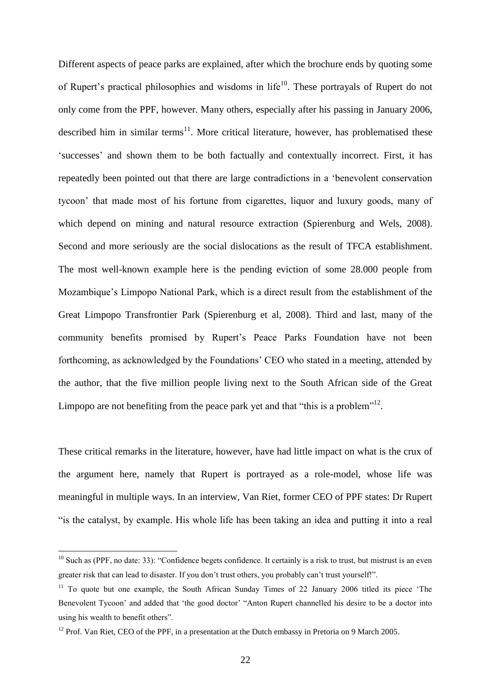Different aspects of peace parks are explained, after which the brochure ends by quoting some of Rupert's practical philosophies and wisdoms in life<sup>10</sup>. These portrayals of Rupert do not only come from the PPF, however. Many others, especially after his passing in January 2006, described him in similar terms<sup>11</sup>. More critical literature, however, has problematised these ‗successes' and shown them to be both factually and contextually incorrect. First, it has repeatedly been pointed out that there are large contradictions in a 'benevolent conservation tycoon' that made most of his fortune from cigarettes, liquor and luxury goods, many of which depend on mining and natural resource extraction (Spierenburg and Wels, 2008). Second and more seriously are the social dislocations as the result of TFCA establishment. The most well-known example here is the pending eviction of some 28.000 people from Mozambique's Limpopo National Park, which is a direct result from the establishment of the Great Limpopo Transfrontier Park (Spierenburg et al, 2008). Third and last, many of the community benefits promised by Rupert's Peace Parks Foundation have not been forthcoming, as acknowledged by the Foundations' CEO who stated in a meeting, attended by the author, that the five million people living next to the South African side of the Great Limpopo are not benefiting from the peace park yet and that "this is a problem"<sup>12</sup>.

These critical remarks in the literature, however, have had little impact on what is the crux of the argument here, namely that Rupert is portrayed as a role-model, whose life was meaningful in multiple ways. In an interview, Van Riet, former CEO of PPF states: Dr Rupert ―is the catalyst, by example. His whole life has been taking an idea and putting it into a real

 $10$  Such as (PPF, no date: 33): "Confidence begets confidence. It certainly is a risk to trust, but mistrust is an even greater risk that can lead to disaster. If you don't trust others, you probably can't trust yourself!".

 $11$  To quote but one example, the South African Sunday Times of 22 January 2006 titled its piece 'The Benevolent Tycoon' and added that 'the good doctor' "Anton Rupert channelled his desire to be a doctor into using his wealth to benefit others".

 $12$  Prof. Van Riet, CEO of the PPF, in a presentation at the Dutch embassy in Pretoria on 9 March 2005.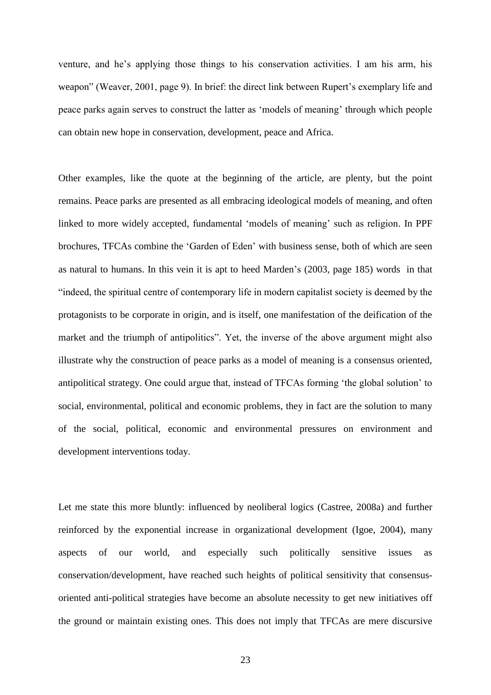venture, and he's applying those things to his conservation activities. I am his arm, his weapon" (Weaver, 2001, page 9). In brief: the direct link between Rupert's exemplary life and peace parks again serves to construct the latter as ‗models of meaning' through which people can obtain new hope in conservation, development, peace and Africa.

Other examples, like the quote at the beginning of the article, are plenty, but the point remains. Peace parks are presented as all embracing ideological models of meaning, and often linked to more widely accepted, fundamental 'models of meaning' such as religion. In PPF brochures, TFCAs combine the 'Garden of Eden' with business sense, both of which are seen as natural to humans. In this vein it is apt to heed Marden's (2003, page 185) words in that ―indeed, the spiritual centre of contemporary life in modern capitalist society is deemed by the protagonists to be corporate in origin, and is itself, one manifestation of the deification of the market and the triumph of antipolitics". Yet, the inverse of the above argument might also illustrate why the construction of peace parks as a model of meaning is a consensus oriented, antipolitical strategy. One could argue that, instead of TFCAs forming 'the global solution' to social, environmental, political and economic problems, they in fact are the solution to many of the social, political, economic and environmental pressures on environment and development interventions today.

Let me state this more bluntly: influenced by neoliberal logics (Castree, 2008a) and further reinforced by the exponential increase in organizational development (Igoe, 2004), many aspects of our world, and especially such politically sensitive issues as conservation/development, have reached such heights of political sensitivity that consensusoriented anti-political strategies have become an absolute necessity to get new initiatives off the ground or maintain existing ones. This does not imply that TFCAs are mere discursive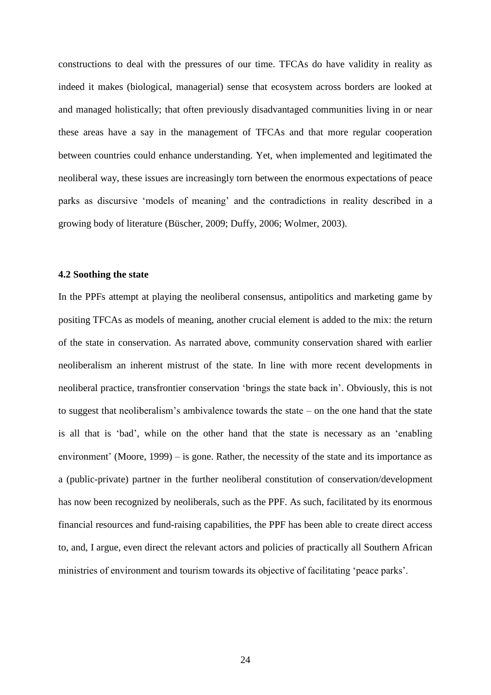constructions to deal with the pressures of our time. TFCAs do have validity in reality as indeed it makes (biological, managerial) sense that ecosystem across borders are looked at and managed holistically; that often previously disadvantaged communities living in or near these areas have a say in the management of TFCAs and that more regular cooperation between countries could enhance understanding. Yet, when implemented and legitimated the neoliberal way, these issues are increasingly torn between the enormous expectations of peace parks as discursive 'models of meaning' and the contradictions in reality described in a growing body of literature (Büscher, 2009; Duffy, 2006; Wolmer, 2003).

# **4.2 Soothing the state**

In the PPFs attempt at playing the neoliberal consensus, antipolitics and marketing game by positing TFCAs as models of meaning, another crucial element is added to the mix: the return of the state in conservation. As narrated above, community conservation shared with earlier neoliberalism an inherent mistrust of the state. In line with more recent developments in neoliberal practice, transfrontier conservation 'brings the state back in'. Obviously, this is not to suggest that neoliberalism's ambivalence towards the state – on the one hand that the state is all that is 'bad', while on the other hand that the state is necessary as an 'enabling environment' (Moore, 1999) – is gone. Rather, the necessity of the state and its importance as a (public-private) partner in the further neoliberal constitution of conservation/development has now been recognized by neoliberals, such as the PPF. As such, facilitated by its enormous financial resources and fund-raising capabilities, the PPF has been able to create direct access to, and, I argue, even direct the relevant actors and policies of practically all Southern African ministries of environment and tourism towards its objective of facilitating 'peace parks'.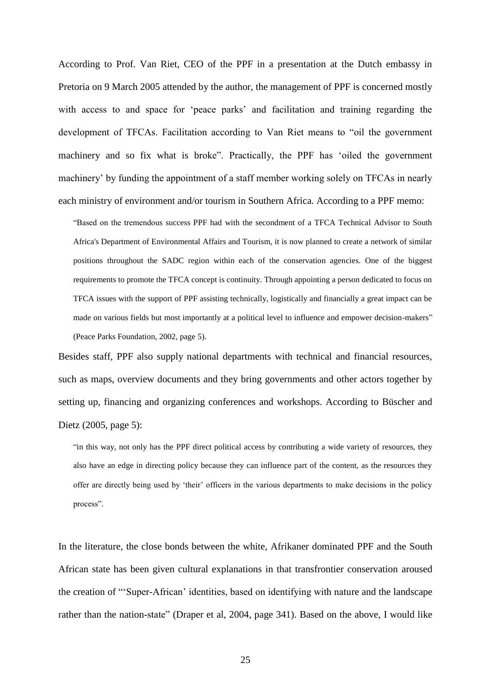According to Prof. Van Riet, CEO of the PPF in a presentation at the Dutch embassy in Pretoria on 9 March 2005 attended by the author, the management of PPF is concerned mostly with access to and space for 'peace parks' and facilitation and training regarding the development of TFCAs. Facilitation according to Van Riet means to "oil the government machinery and so fix what is broke". Practically, the PPF has 'oiled the government machinery' by funding the appointment of a staff member working solely on TFCAs in nearly each ministry of environment and/or tourism in Southern Africa. According to a PPF memo:

―Based on the tremendous success PPF had with the secondment of a TFCA Technical Advisor to South Africa's Department of Environmental Affairs and Tourism, it is now planned to create a network of similar positions throughout the SADC region within each of the conservation agencies. One of the biggest requirements to promote the TFCA concept is continuity. Through appointing a person dedicated to focus on TFCA issues with the support of PPF assisting technically, logistically and financially a great impact can be made on various fields but most importantly at a political level to influence and empower decision-makers" (Peace Parks Foundation, 2002, page 5).

Besides staff, PPF also supply national departments with technical and financial resources, such as maps, overview documents and they bring governments and other actors together by setting up, financing and organizing conferences and workshops. According to Büscher and Dietz (2005, page 5):

―in this way, not only has the PPF direct political access by contributing a wide variety of resources, they also have an edge in directing policy because they can influence part of the content, as the resources they offer are directly being used by 'their' officers in the various departments to make decisions in the policy process".

In the literature, the close bonds between the white, Afrikaner dominated PPF and the South African state has been given cultural explanations in that transfrontier conservation aroused the creation of "Super-African' identities, based on identifying with nature and the landscape rather than the nation-state" (Draper et al, 2004, page 341). Based on the above, I would like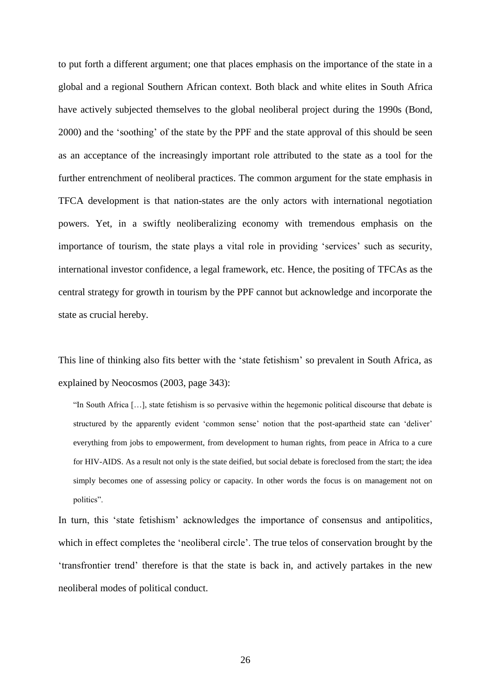to put forth a different argument; one that places emphasis on the importance of the state in a global and a regional Southern African context. Both black and white elites in South Africa have actively subjected themselves to the global neoliberal project during the 1990s (Bond, 2000) and the 'soothing' of the state by the PPF and the state approval of this should be seen as an acceptance of the increasingly important role attributed to the state as a tool for the further entrenchment of neoliberal practices. The common argument for the state emphasis in TFCA development is that nation-states are the only actors with international negotiation powers. Yet, in a swiftly neoliberalizing economy with tremendous emphasis on the importance of tourism, the state plays a vital role in providing 'services' such as security, international investor confidence, a legal framework, etc. Hence, the positing of TFCAs as the central strategy for growth in tourism by the PPF cannot but acknowledge and incorporate the state as crucial hereby.

This line of thinking also fits better with the 'state fetishism' so prevalent in South Africa, as explained by Neocosmos (2003, page 343):

―In South Africa […], state fetishism is so pervasive within the hegemonic political discourse that debate is structured by the apparently evident 'common sense' notion that the post-apartheid state can 'deliver' everything from jobs to empowerment, from development to human rights, from peace in Africa to a cure for HIV-AIDS. As a result not only is the state deified, but social debate is foreclosed from the start; the idea simply becomes one of assessing policy or capacity. In other words the focus is on management not on politics".

In turn, this 'state fetishism' acknowledges the importance of consensus and antipolitics, which in effect completes the 'neoliberal circle'. The true telos of conservation brought by the ‗transfrontier trend' therefore is that the state is back in, and actively partakes in the new neoliberal modes of political conduct.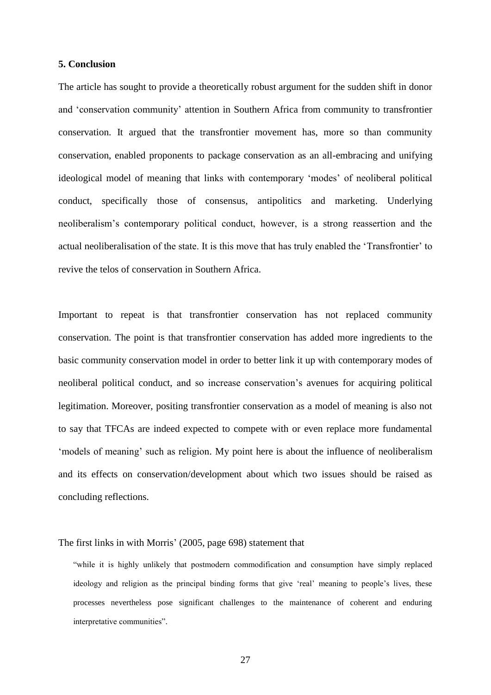# **5. Conclusion**

The article has sought to provide a theoretically robust argument for the sudden shift in donor and ‗conservation community' attention in Southern Africa from community to transfrontier conservation. It argued that the transfrontier movement has, more so than community conservation, enabled proponents to package conservation as an all-embracing and unifying ideological model of meaning that links with contemporary 'modes' of neoliberal political conduct, specifically those of consensus, antipolitics and marketing. Underlying neoliberalism's contemporary political conduct, however, is a strong reassertion and the actual neoliberalisation of the state. It is this move that has truly enabled the 'Transfrontier' to revive the telos of conservation in Southern Africa.

Important to repeat is that transfrontier conservation has not replaced community conservation. The point is that transfrontier conservation has added more ingredients to the basic community conservation model in order to better link it up with contemporary modes of neoliberal political conduct, and so increase conservation's avenues for acquiring political legitimation. Moreover, positing transfrontier conservation as a model of meaning is also not to say that TFCAs are indeed expected to compete with or even replace more fundamental ‗models of meaning' such as religion. My point here is about the influence of neoliberalism and its effects on conservation/development about which two issues should be raised as concluding reflections.

# The first links in with Morris' (2005, page 698) statement that

―while it is highly unlikely that postmodern commodification and consumption have simply replaced ideology and religion as the principal binding forms that give 'real' meaning to people's lives, these processes nevertheless pose significant challenges to the maintenance of coherent and enduring interpretative communities".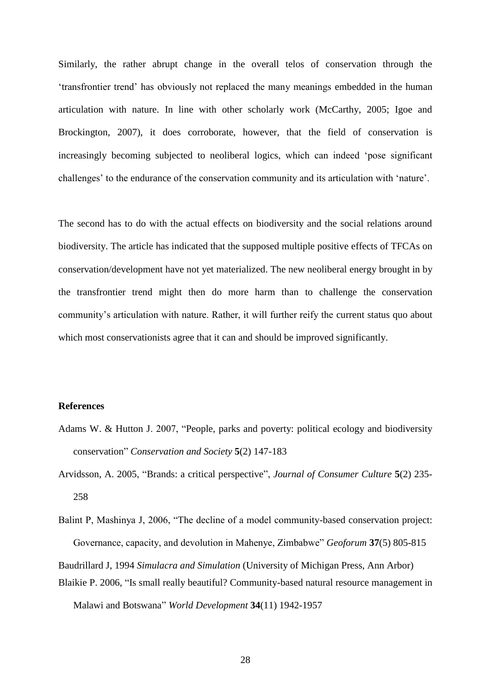Similarly, the rather abrupt change in the overall telos of conservation through the ‗transfrontier trend' has obviously not replaced the many meanings embedded in the human articulation with nature. In line with other scholarly work (McCarthy, 2005; Igoe and Brockington, 2007), it does corroborate, however, that the field of conservation is increasingly becoming subjected to neoliberal logics, which can indeed 'pose significant challenges' to the endurance of the conservation community and its articulation with 'nature'.

The second has to do with the actual effects on biodiversity and the social relations around biodiversity. The article has indicated that the supposed multiple positive effects of TFCAs on conservation/development have not yet materialized. The new neoliberal energy brought in by the transfrontier trend might then do more harm than to challenge the conservation community's articulation with nature. Rather, it will further reify the current status quo about which most conservationists agree that it can and should be improved significantly.

# **References**

- Adams W. & Hutton J. 2007, "People, parks and poverty: political ecology and biodiversity conservation‖ *Conservation and Society* **5**(2) 147-183
- Arvidsson, A. 2005, "Brands: a critical perspective", *Journal of Consumer Culture* 5(2) 235-258
- Balint P, Mashinya J, 2006, "The decline of a model community-based conservation project: Governance, capacity, and devolution in Mahenye, Zimbabwe" *Geoforum* 37(5) 805-815

Baudrillard J, 1994 *Simulacra and Simulation* (University of Michigan Press, Ann Arbor)

Blaikie P. 2006, "Is small really beautiful? Community-based natural resource management in

Malawi and Botswana‖ *World Development* **34**(11) 1942-1957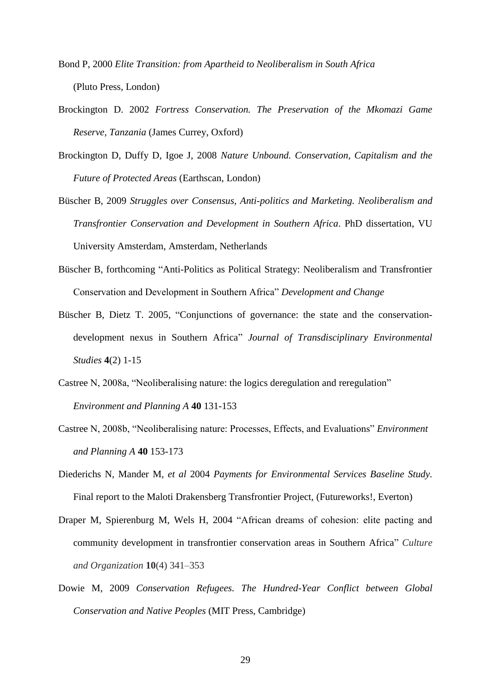- Bond P, 2000 *Elite Transition: from Apartheid to Neoliberalism in South Africa* (Pluto Press, London)
- Brockington D. 2002 *Fortress Conservation. The Preservation of the Mkomazi Game Reserve, Tanzania* (James Currey, Oxford)
- Brockington D, Duffy D, Igoe J, 2008 *Nature Unbound. Conservation, Capitalism and the Future of Protected Areas* (Earthscan, London)
- Büscher B, 2009 *Struggles over Consensus, Anti-politics and Marketing. Neoliberalism and Transfrontier Conservation and Development in Southern Africa*. PhD dissertation, VU University Amsterdam, Amsterdam, Netherlands
- Büscher B, forthcoming "Anti-Politics as Political Strategy: Neoliberalism and Transfrontier Conservation and Development in Southern Africa" *Development and Change*
- Büscher B, Dietz T. 2005, "Conjunctions of governance: the state and the conservationdevelopment nexus in Southern Africa‖ *Journal of Transdisciplinary Environmental Studies* **4**(2) 1-15
- Castree N, 2008a, "Neoliberalising nature: the logics deregulation and reregulation" *Environment and Planning A* **40** 131-153
- Castree N, 2008b, "Neoliberalising nature: Processes, Effects, and Evaluations" *Environment and Planning A* **40** 153-173
- Diederichs N, Mander M, *et al* 2004 *Payments for Environmental Services Baseline Study.*  Final report to the Maloti Drakensberg Transfrontier Project, (Futureworks!, Everton)
- Draper M, Spierenburg M, Wels H, 2004 "African dreams of cohesion: elite pacting and community development in transfrontier conservation areas in Southern Africa" Culture *and Organization* **10**(4) 341–353
- Dowie M, 2009 *Conservation Refugees. The Hundred-Year Conflict between Global Conservation and Native Peoples* (MIT Press, Cambridge)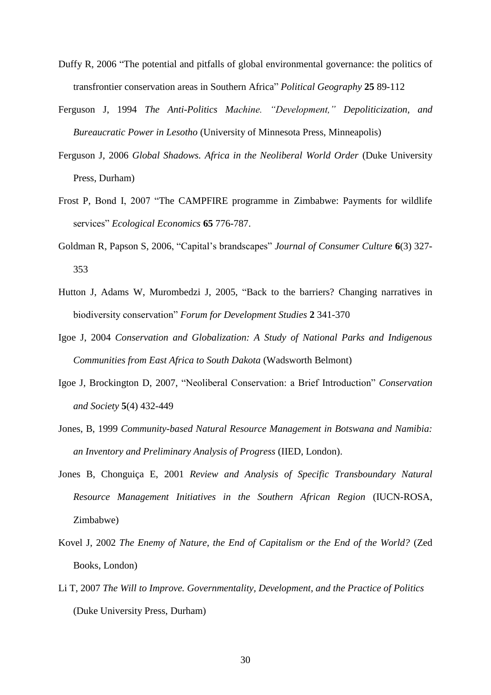- Duffy R, 2006 "The potential and pitfalls of global environmental governance: the politics of transfrontier conservation areas in Southern Africa‖ *Political Geography* **25** 89-112
- Ferguson J, 1994 *The Anti-Politics Machine. "Development," Depoliticization, and Bureaucratic Power in Lesotho* (University of Minnesota Press, Minneapolis)
- Ferguson J, 2006 *Global Shadows. Africa in the Neoliberal World Order* (Duke University Press, Durham)
- Frost P, Bond I, 2007 "The CAMPFIRE programme in Zimbabwe: Payments for wildlife services‖ *Ecological Economics* **65** 776-787.
- Goldman R, Papson S, 2006, "Capital's brandscapes" *Journal of Consumer Culture* 6(3) 327-353
- Hutton J, Adams W, Murombedzi J, 2005, "Back to the barriers? Changing narratives in biodiversity conservation‖ *Forum for Development Studies* **2** 341-370
- Igoe J, 2004 *Conservation and Globalization: A Study of National Parks and Indigenous Communities from East Africa to South Dakota* (Wadsworth Belmont)
- Igoe J, Brockington D, 2007, "Neoliberal Conservation: a Brief Introduction" Conservation *and Society* **5**(4) 432-449
- Jones, B, 1999 *Community-based Natural Resource Management in Botswana and Namibia: an Inventory and Preliminary Analysis of Progress* (IIED, London).
- Jones B, Chonguiça E, 2001 *Review and Analysis of Specific Transboundary Natural Resource Management Initiatives in the Southern African Region* (IUCN-ROSA, Zimbabwe)
- Kovel J, 2002 *The Enemy of Nature, the End of Capitalism or the End of the World?* (Zed Books, London)
- Li T, 2007 *The Will to Improve. Governmentality, Development, and the Practice of Politics* (Duke University Press, Durham)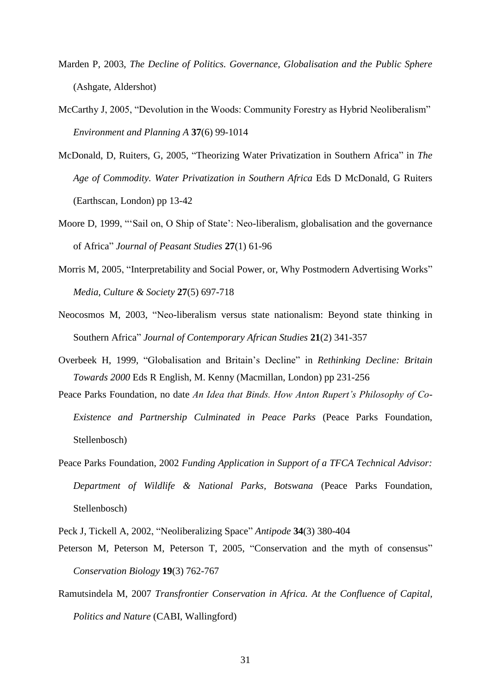- Marden P, 2003, *The Decline of Politics. Governance, Globalisation and the Public Sphere* (Ashgate, Aldershot)
- McCarthy J, 2005, "Devolution in the Woods: Community Forestry as Hybrid Neoliberalism" *Environment and Planning A* **37**(6) 99-1014
- McDonald, D, Ruiters, G, 2005, "Theorizing Water Privatization in Southern Africa" in *The Age of Commodity. Water Privatization in Southern Africa* Eds D McDonald, G Ruiters (Earthscan, London) pp 13-42
- Moore D, 1999, "'Sail on, O Ship of State': Neo-liberalism, globalisation and the governance of Africa‖ *Journal of Peasant Studies* **27**(1) 61-96
- Morris M, 2005, "Interpretability and Social Power, or, Why Postmodern Advertising Works" *Media, Culture & Society* **27**(5) 697-718
- Neocosmos M, 2003, "Neo-liberalism versus state nationalism: Beyond state thinking in Southern Africa‖ *Journal of Contemporary African Studies* **21**(2) 341-357
- Overbeek H, 1999, "Globalisation and Britain's Decline" in *Rethinking Decline: Britain Towards 2000* Eds R English, M. Kenny (Macmillan, London) pp 231-256
- Peace Parks Foundation, no date *An Idea that Binds. How Anton Rupert's Philosophy of Co-Existence and Partnership Culminated in Peace Parks* (Peace Parks Foundation, Stellenbosch)
- Peace Parks Foundation, 2002 *Funding Application in Support of a TFCA Technical Advisor: Department of Wildlife & National Parks, Botswana* (Peace Parks Foundation, Stellenbosch)
- Peck J, Tickell A, 2002, "Neoliberalizing Space" *Antipode* 34(3) 380-404
- Peterson M, Peterson M, Peterson T, 2005, "Conservation and the myth of consensus" *Conservation Biology* **19**(3) 762-767
- Ramutsindela M, 2007 *Transfrontier Conservation in Africa. At the Confluence of Capital, Politics and Nature* (CABI, Wallingford)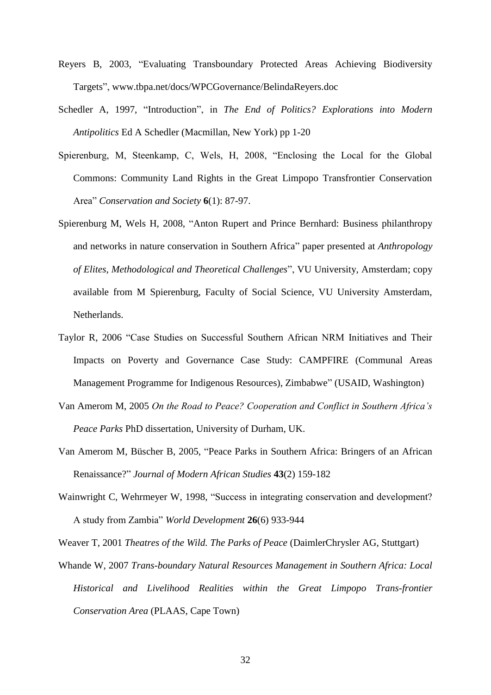- Reyers B, 2003, "Evaluating Transboundary Protected Areas Achieving Biodiversity Targets", www.tbpa.net/docs/WPCGovernance/BelindaReyers.doc
- Schedler A, 1997, "Introduction", in *The End of Politics? Explorations into Modern Antipolitics* Ed A Schedler (Macmillan, New York) pp 1-20
- Spierenburg, M, Steenkamp, C, Wels, H, 2008, "Enclosing the Local for the Global Commons: Community Land Rights in the Great Limpopo Transfrontier Conservation Area<sup>"</sup> *Conservation and Society* 6(1): 87-97.
- Spierenburg M, Wels H, 2008, "Anton Rupert and Prince Bernhard: Business philanthropy and networks in nature conservation in Southern Africa" paper presented at *Anthropology of Elites, Methodological and Theoretical Challenges*‖, VU University, Amsterdam; copy available from M Spierenburg, Faculty of Social Science, VU University Amsterdam, Netherlands.
- Taylor R, 2006 "Case Studies on Successful Southern African NRM Initiatives and Their Impacts on Poverty and Governance Case Study: CAMPFIRE (Communal Areas Management Programme for Indigenous Resources), Zimbabwe" (USAID, Washington)
- Van Amerom M, 2005 *On the Road to Peace? Cooperation and Conflict in Southern Africa's Peace Parks* PhD dissertation, University of Durham, UK.
- Van Amerom M, Büscher B, 2005, "Peace Parks in Southern Africa: Bringers of an African Renaissance?‖ *Journal of Modern African Studies* **43**(2) 159-182
- Wainwright C, Wehrmeyer W, 1998, "Success in integrating conservation and development? A study from Zambia‖ *World Development* **26**(6) 933-944

Weaver T, 2001 *Theatres of the Wild. The Parks of Peace* (DaimlerChrysler AG, Stuttgart)

Whande W, 2007 *Trans-boundary Natural Resources Management in Southern Africa: Local Historical and Livelihood Realities within the Great Limpopo Trans-frontier Conservation Area* (PLAAS, Cape Town)